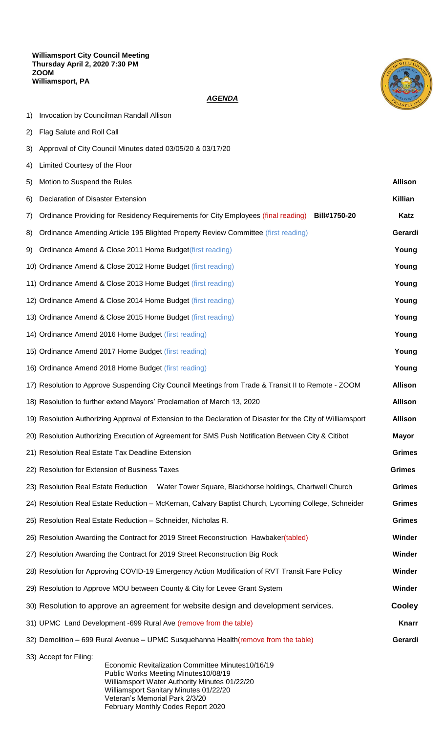

## *AGENDA*

- 1) Invocation by Councilman Randall Allison
- 2) Flag Salute and Roll Call
- 3) Approval of City Council Minutes dated 03/05/20 & 03/17/20
- 4) Limited Courtesy of the Floor

| 5) | Motion to Suspend the Rules                                                                                        | <b>Allison</b> |  |  |
|----|--------------------------------------------------------------------------------------------------------------------|----------------|--|--|
| 6) | Declaration of Disaster Extension                                                                                  | Killian        |  |  |
| 7) | Bill#1750-20<br>Ordinance Providing for Residency Requirements for City Employees (final reading)                  | <b>Katz</b>    |  |  |
| 8) | Ordinance Amending Article 195 Blighted Property Review Committee (first reading)                                  |                |  |  |
| 9) | Ordinance Amend & Close 2011 Home Budget(first reading)                                                            |                |  |  |
|    | 10) Ordinance Amend & Close 2012 Home Budget (first reading)                                                       | Young          |  |  |
|    | 11) Ordinance Amend & Close 2013 Home Budget (first reading)                                                       |                |  |  |
|    | 12) Ordinance Amend & Close 2014 Home Budget (first reading)                                                       |                |  |  |
|    | 13) Ordinance Amend & Close 2015 Home Budget (first reading)<br>Young                                              |                |  |  |
|    | 14) Ordinance Amend 2016 Home Budget (first reading)                                                               |                |  |  |
|    | 15) Ordinance Amend 2017 Home Budget (first reading)                                                               |                |  |  |
|    | 16) Ordinance Amend 2018 Home Budget (first reading)<br>Young                                                      |                |  |  |
|    | 17) Resolution to Approve Suspending City Council Meetings from Trade & Transit II to Remote - ZOOM                |                |  |  |
|    | 18) Resolution to further extend Mayors' Proclamation of March 13, 2020                                            | <b>Allison</b> |  |  |
|    | 19) Resolution Authorizing Approval of Extension to the Declaration of Disaster for the City of Williamsport       |                |  |  |
|    | 20) Resolution Authorizing Execution of Agreement for SMS Push Notification Between City & Citibot                 | <b>Mayor</b>   |  |  |
|    | 21) Resolution Real Estate Tax Deadline Extension                                                                  | <b>Grimes</b>  |  |  |
|    | 22) Resolution for Extension of Business Taxes                                                                     | <b>Grimes</b>  |  |  |
|    | 23) Resolution Real Estate Reduction<br>Water Tower Square, Blackhorse holdings, Chartwell Church<br><b>Grimes</b> |                |  |  |
|    | 24) Resolution Real Estate Reduction - McKernan, Calvary Baptist Church, Lycoming College, Schneider               | <b>Grimes</b>  |  |  |
|    | <b>Grimes</b><br>25) Resolution Real Estate Reduction - Schneider, Nicholas R.                                     |                |  |  |
|    | 26) Resolution Awarding the Contract for 2019 Street Reconstruction Hawbaker(tabled)<br>Winder                     |                |  |  |
|    | 27) Resolution Awarding the Contract for 2019 Street Reconstruction Big Rock                                       | Winder         |  |  |
|    | 28) Resolution for Approving COVID-19 Emergency Action Modification of RVT Transit Fare Policy                     | Winder         |  |  |
|    | 29) Resolution to Approve MOU between County & City for Levee Grant System                                         | Winder         |  |  |
|    | <b>Cooley</b><br>30) Resolution to approve an agreement for website design and development services.               |                |  |  |
|    | <b>Knarr</b><br>31) UPMC Land Development -699 Rural Ave (remove from the table)                                   |                |  |  |
|    | Gerardi<br>32) Demolition - 699 Rural Avenue - UPMC Susquehanna Health (remove from the table)                     |                |  |  |
|    | 33) Accept for Filing:<br>Economic Revitalization Committee Minutes10/16/19                                        |                |  |  |

Public Works Meeting Minutes10/08/19 Williamsport Water Authority Minutes 01/22/20 Williamsport Sanitary Minutes 01/22/20 Veteran's Memorial Park 2/3/20 February Monthly Codes Report 2020